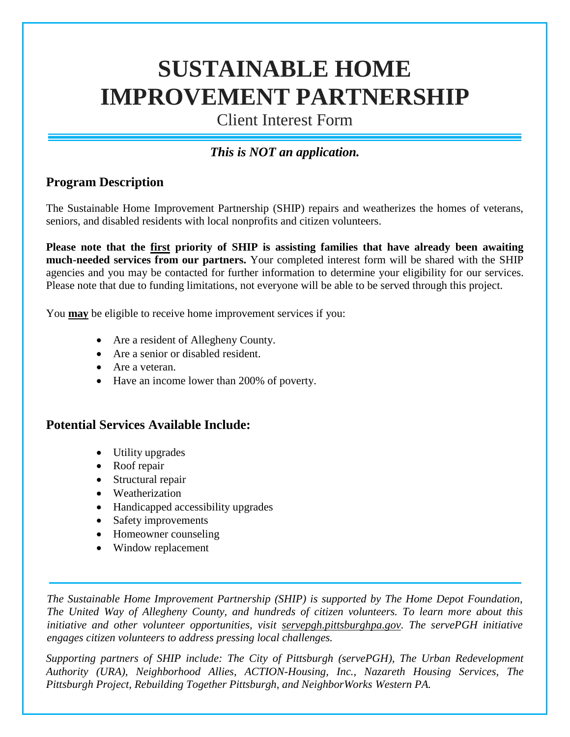# **SUSTAINABLE HOME IMPROVEMENT PARTNERSHIP**

Client Interest Form

## *This is NOT an application.*

## **Program Description**

The Sustainable Home Improvement Partnership (SHIP) repairs and weatherizes the homes of veterans, seniors, and disabled residents with local nonprofits and citizen volunteers.

**Please note that the first priority of SHIP is assisting families that have already been awaiting much-needed services from our partners.** Your completed interest form will be shared with the SHIP agencies and you may be contacted for further information to determine your eligibility for our services. Please note that due to funding limitations, not everyone will be able to be served through this project.

You **may** be eligible to receive home improvement services if you:

- Are a resident of Allegheny County.
- Are a senior or disabled resident.
- Are a veteran.
- Have an income lower than 200% of poverty.

#### **Potential Services Available Include:**

- Utility upgrades
- Roof repair
- Structural repair
- Weatherization
- Handicapped accessibility upgrades
- Safety improvements
- Homeowner counseling
- Window replacement

*The Sustainable Home Improvement Partnership (SHIP) is supported by The Home Depot Foundation, The United Way of Allegheny County, and hundreds of citizen volunteers. To learn more about this initiative and other volunteer opportunities, visit [servepgh.pittsburghpa.gov.](http://www.servepgh.pittsburghpa.gov/) The servePGH initiative engages citizen volunteers to address pressing local challenges.*

*Supporting partners of SHIP include: The City of Pittsburgh (servePGH), The Urban Redevelopment Authority (URA), Neighborhood Allies, ACTION-Housing, Inc., Nazareth Housing Services, The Pittsburgh Project, Rebuilding Together Pittsburgh, and NeighborWorks Western PA.*